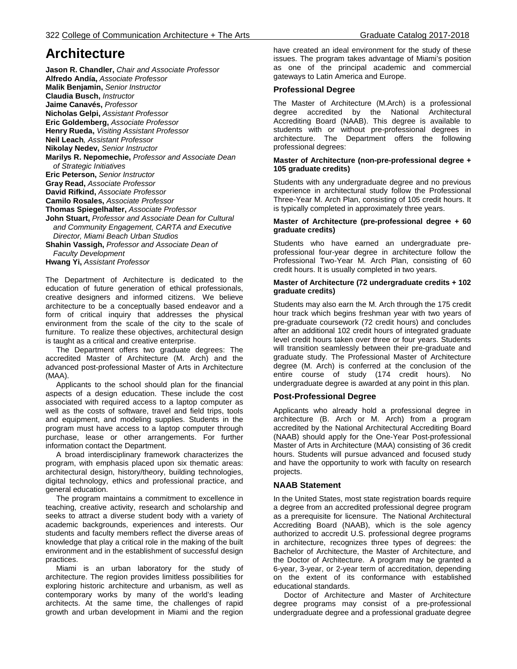# **Architecture**

**Jason R. Chandler,** *Chair and Associate Professor* **Alfredo Andía,** *Associate Professor* **Malik Benjamin,** *Senior Instructor* **Claudia Busch,** *Instructor* **Jaime Canavés,** *Professor* **Nicholas Gelpi,** *Assistant Professor* **Eric Goldemberg,** *Associate Professor* **Henry Rueda,** *Visiting Assistant Professor* **Neil Leach***, Assistant Professor* **Nikolay Nedev,** *Senior Instructor* **Marilys R. Nepomechie,** *Professor and Associate Dean of Strategic Initiatives* **Eric Peterson,** *Senior Instructor* **Gray Read,** *Associate Professor* **David Rifkind,** *Associate Professor* **Camilo Rosales,** *Associate Professor* **Thomas Spiegelhalter,** *Associate Professor* **John Stuart,** *Professor and Associate Dean for Cultural and Community Engagement, CARTA and Executive Director, Miami Beach Urban Studios* **Shahin Vassigh,** *Professor and Associate Dean of Faculty Development* **Hwang Yi,** *Assistant Professor*

The Department of Architecture is dedicated to the education of future generation of ethical professionals, creative designers and informed citizens. We believe architecture to be a conceptually based endeavor and a form of critical inquiry that addresses the physical environment from the scale of the city to the scale of furniture. To realize these objectives, architectural design is taught as a critical and creative enterprise.

 The Department offers two graduate degrees: The accredited Master of Architecture (M. Arch) and the advanced post-professional Master of Arts in Architecture (MAA).

 Applicants to the school should plan for the financial aspects of a design education. These include the cost associated with required access to a laptop computer as well as the costs of software, travel and field trips, tools and equipment, and modeling supplies. Students in the program must have access to a laptop computer through purchase, lease or other arrangements. For further information contact the Department.

 A broad interdisciplinary framework characterizes the program, with emphasis placed upon six thematic areas: architectural design, history/theory, building technologies, digital technology, ethics and professional practice, and general education.

 The program maintains a commitment to excellence in teaching, creative activity, research and scholarship and seeks to attract a diverse student body with a variety of academic backgrounds, experiences and interests. Our students and faculty members reflect the diverse areas of knowledge that play a critical role in the making of the built environment and in the establishment of successful design practices.

 Miami is an urban laboratory for the study of architecture. The region provides limitless possibilities for exploring historic architecture and urbanism, as well as contemporary works by many of the world's leading architects. At the same time, the challenges of rapid growth and urban development in Miami and the region

have created an ideal environment for the study of these issues. The program takes advantage of Miami's position as one of the principal academic and commercial gateways to Latin America and Europe.

# **Professional Degree**

The Master of Architecture (M.Arch) is a professional degree accredited by the National Architectural Accrediting Board (NAAB). This degree is available to students with or without pre-professional degrees in architecture. The Department offers the following professional degrees:

### **Master of Architecture (non-pre-professional degree + 105 graduate credits)**

Students with any undergraduate degree and no previous experience in architectural study follow the Professional Three-Year M. Arch Plan, consisting of 105 credit hours. It is typically completed in approximately three years.

### **Master of Architecture (pre-professional degree + 60 graduate credits)**

Students who have earned an undergraduate preprofessional four-year degree in architecture follow the Professional Two-Year M. Arch Plan, consisting of 60 credit hours. It is usually completed in two years.

### **Master of Architecture (72 undergraduate credits + 102 graduate credits)**

Students may also earn the M. Arch through the 175 credit hour track which begins freshman year with two years of pre-graduate coursework (72 credit hours) and concludes after an additional 102 credit hours of integrated graduate level credit hours taken over three or four years. Students will transition seamlessly between their pre-graduate and graduate study. The Professional Master of Architecture degree (M. Arch) is conferred at the conclusion of the entire course of study (174 credit hours). No undergraduate degree is awarded at any point in this plan.

# **Post-Professional Degree**

Applicants who already hold a professional degree in architecture (B. Arch or M. Arch) from a program accredited by the National Architectural Accrediting Board (NAAB) should apply for the One-Year Post-professional Master of Arts in Architecture (MAA) consisting of 36 credit hours. Students will pursue advanced and focused study and have the opportunity to work with faculty on research projects.

# **NAAB Statement**

In the United States, most state registration boards require a degree from an accredited professional degree program as a prerequisite for licensure. The National Architectural Accrediting Board (NAAB), which is the sole agency authorized to accredit U.S. professional degree programs in architecture, recognizes three types of degrees: the Bachelor of Architecture, the Master of Architecture, and the Doctor of Architecture. A program may be granted a 6-year, 3-year, or 2-year term of accreditation, depending on the extent of its conformance with established educational standards.

 Doctor of Architecture and Master of Architecture degree programs may consist of a pre-professional undergraduate degree and a professional graduate degree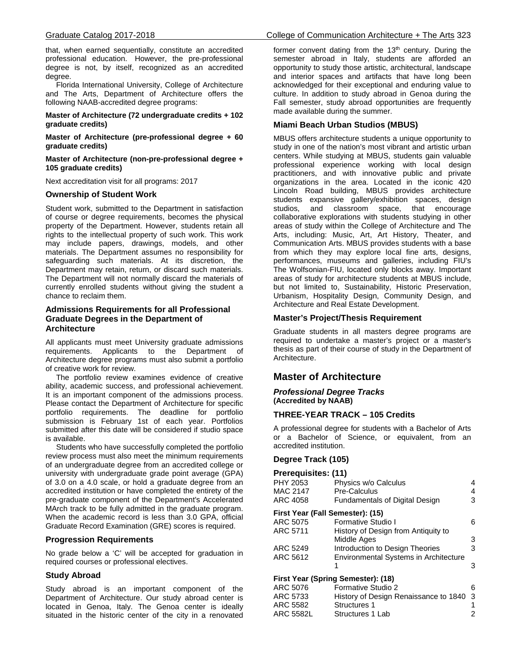that, when earned sequentially, constitute an accredited professional education. However, the pre-professional degree is not, by itself, recognized as an accredited degree.

 Florida International University, College of Architecture and The Arts, Department of Architecture offers the following NAAB-accredited degree programs:

**Master of Architecture (72 undergraduate credits + 102 graduate credits)**

**Master of Architecture (pre-professional degree + 60 graduate credits)**

**Master of Architecture (non-pre-professional degree + 105 graduate credits)**

Next accreditation visit for all programs: 2017

# **Ownership of Student Work**

Student work, submitted to the Department in satisfaction of course or degree requirements, becomes the physical property of the Department. However, students retain all rights to the intellectual property of such work. This work may include papers, drawings, models, and other materials. The Department assumes no responsibility for safeguarding such materials. At its discretion, the Department may retain, return, or discard such materials. The Department will not normally discard the materials of currently enrolled students without giving the student a chance to reclaim them.

# **Admissions Requirements for all Professional Graduate Degrees in the Department of Architecture**

All applicants must meet University graduate admissions requirements. Applicants to the Department of Architecture degree programs must also submit a portfolio of creative work for review.

 The portfolio review examines evidence of creative ability, academic success, and professional achievement. It is an important component of the admissions process. Please contact the Department of Architecture for specific portfolio requirements. The deadline for portfolio submission is February 1st of each year. Portfolios submitted after this date will be considered if studio space is available.

 Students who have successfully completed the portfolio review process must also meet the minimum requirements of an undergraduate degree from an accredited college or university with undergraduate grade point average (GPA) of 3.0 on a 4.0 scale, or hold a graduate degree from an accredited institution or have completed the entirety of the pre-graduate component of the Department's Accelerated MArch track to be fully admitted in the graduate program. When the academic record is less than 3.0 GPA, official Graduate Record Examination (GRE) scores is required.

# **Progression Requirements**

No grade below a 'C' will be accepted for graduation in required courses or professional electives.

# **Study Abroad**

Study abroad is an important component of the Department of Architecture. Our study abroad center is located in Genoa, Italy. The Genoa center is ideally situated in the historic center of the city in a renovated former convent dating from the  $13<sup>th</sup>$  century. During the semester abroad in Italy, students are afforded an opportunity to study those artistic, architectural, landscape and interior spaces and artifacts that have long been acknowledged for their exceptional and enduring value to culture. In addition to study abroad in Genoa during the Fall semester, study abroad opportunities are frequently made available during the summer.

# **Miami Beach Urban Studios (MBUS)**

MBUS offers architecture students a unique opportunity to study in one of the nation's most vibrant and artistic urban centers. While studying at MBUS, students gain valuable professional experience working with local design practitioners, and with innovative public and private organizations in the area. Located in the iconic 420 Lincoln Road building, MBUS provides architecture students expansive gallery/exhibition spaces, design studios, and classroom space, that encourage collaborative explorations with students studying in other areas of study within the College of Architecture and The Arts, including: Music, Art, Art History, Theater, and Communication Arts. MBUS provides students with a base from which they may explore local fine arts, designs, performances, museums and galleries, including FIU's The Wolfsonian-FIU, located only blocks away. Important areas of study for architecture students at MBUS include, but not limited to, Sustainability, Historic Preservation, Urbanism, Hospitality Design, Community Design, and Architecture and Real Estate Development.

# **Master's Project/Thesis Requirement**

Graduate students in all masters degree programs are required to undertake a master's project or a master's thesis as part of their course of study in the Department of Architecture.

# **Master of Architecture**

# *Professional Degree Tracks* **(Accredited by NAAB)**

# **THREE-YEAR TRACK – 105 Credits**

A professional degree for students with a Bachelor of Arts or a Bachelor of Science, or equivalent, from an accredited institution.

# **Degree Track (105)**

| Prerequisites: (11)                |                                              |   |
|------------------------------------|----------------------------------------------|---|
| PHY 2053                           | Physics w/o Calculus                         | 4 |
| MAC 2147                           | Pre-Calculus                                 | 4 |
| ARC 4058                           | <b>Fundamentals of Digital Design</b>        | 3 |
| First Year (Fall Semester): (15)   |                                              |   |
| ARC 5075                           | Formative Studio I                           | 6 |
| ARC 5711                           | History of Design from Antiquity to          |   |
|                                    | Middle Ages                                  | 3 |
| ARC 5249                           | Introduction to Design Theories              | 3 |
| ARC 5612                           | <b>Environmental Systems in Architecture</b> |   |
|                                    |                                              | 3 |
| First Year (Spring Semester): (18) |                                              |   |
| ARC 5076                           | Formative Studio 2                           | 6 |
| ARC 5733                           | History of Design Renaissance to 1840        | 3 |
| ARC 5582                           | <b>Structures 1</b>                          |   |
| ARC 5582L                          | Structures 1 Lab                             |   |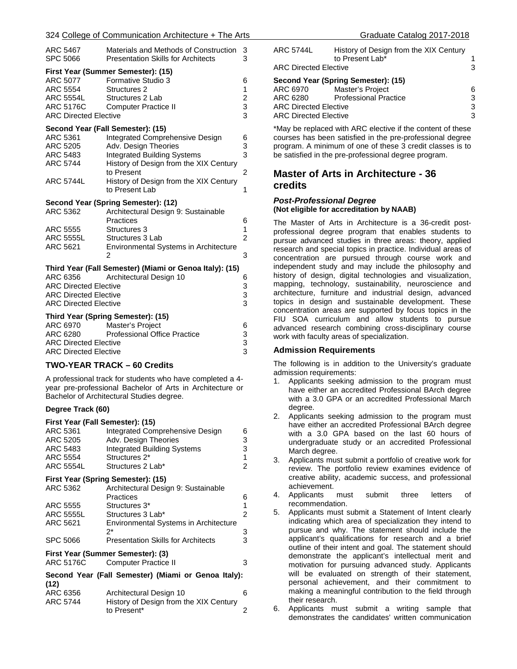### 324 College of Communication Architecture + The Arts

| ARC 5467<br>SPC 5066               | Materials and Methods of Construction<br><b>Presentation Skills for Architects</b> | 3<br>3                  |
|------------------------------------|------------------------------------------------------------------------------------|-------------------------|
|                                    | First Year (Summer Semester): (15)                                                 |                         |
| ARC 5077                           | Formative Studio 3                                                                 | 6                       |
| ARC 5554                           | Structures 2                                                                       | 1                       |
| ARC 5554L                          | Structures 2 Lab                                                                   | $\overline{\mathbf{c}}$ |
| <b>ARC 5176C</b>                   | <b>Computer Practice II</b>                                                        | 3                       |
| <b>ARC Directed Elective</b>       |                                                                                    | 3                       |
|                                    | Second Year (Fall Semester): (15)                                                  |                         |
| ARC 5361                           | Integrated Comprehensive Design                                                    | 6                       |
| <b>ARC 5205</b>                    | Adv. Design Theories                                                               | 3                       |
| ARC 5483                           | <b>Integrated Building Systems</b>                                                 | 3                       |
| <b>ARC 5744</b>                    | History of Design from the XIX Century                                             |                         |
|                                    | to Present                                                                         | 2                       |
| <b>ARC 5744L</b>                   | History of Design from the XIX Century                                             |                         |
|                                    | to Present Lab                                                                     | 1                       |
|                                    | Second Year (Spring Semester): (12)                                                |                         |
| ARC 5362                           | Architectural Design 9: Sustainable                                                |                         |
|                                    | Practices                                                                          | 6                       |
| ARC 5555                           | Structures 3                                                                       | 1                       |
| <b>ARC 5555L</b>                   | Structures 3 Lab                                                                   | $\overline{2}$          |
| ARC 5621                           | <b>Environmental Systems in Architecture</b>                                       |                         |
|                                    | 2                                                                                  | 3                       |
|                                    | Third Year (Fall Semester) (Miami or Genoa Italy): (15)                            |                         |
| ARC 6356                           | Architectural Design 10                                                            | 6                       |
| <b>ARC Directed Elective</b>       |                                                                                    | $\frac{3}{3}$           |
| <b>ARC Directed Elective</b>       |                                                                                    |                         |
| <b>ARC Directed Elective</b>       |                                                                                    | 3                       |
| Third Year (Spring Semester): (15) |                                                                                    |                         |
| ARC 6970                           | Master's Project                                                                   | 6                       |
| ARC 6280                           | <b>Professional Office Practice</b>                                                | 3                       |
| <b>ARC Directed Elective</b>       |                                                                                    | 3                       |
| <b>ARC Directed Elective</b>       |                                                                                    | 3                       |
| TWO-YEAR TRACK - 60 Credits        |                                                                                    |                         |
|                                    |                                                                                    |                         |

A professional track for students who have completed a 4 year pre-professional Bachelor of Arts in Architecture or Bachelor of Architectural Studies degree.

# **Degree Track (60)**

# **First Year (Fall Semester): (15)** Integrated Comprehensive Design 6

| ARC 5205                                            | Adv. Design Theories                      | 3 |
|-----------------------------------------------------|-------------------------------------------|---|
| ARC 5483                                            | <b>Integrated Building Systems</b>        | 3 |
| ARC 5554                                            | Structures 2*                             | 1 |
| <b>ARC 5554L</b>                                    | Structures 2 Lab*                         | 2 |
|                                                     | First Year (Spring Semester): (15)        |   |
| ARC 5362                                            | Architectural Design 9: Sustainable       |   |
|                                                     | Practices                                 | 6 |
| ARC 5555                                            | Structures 3 <sup>*</sup>                 | 1 |
| <b>ARC 5555L</b>                                    | Structures 3 Lab*                         | 2 |
| ARC 5621                                            | Environmental Systems in Architecture     |   |
|                                                     | 2*                                        | 3 |
| <b>SPC 5066</b>                                     | <b>Presentation Skills for Architects</b> | 3 |
|                                                     | First Year (Summer Semester): (3)         |   |
| ARC 5176C                                           | <b>Computer Practice II</b>               | 3 |
| Second Year (Fall Semester) (Miami or Genoa Italy): |                                           |   |
| (12)                                                |                                           |   |
| ARC 6356                                            | Architectural Design 10                   | 6 |
| ARC 5744                                            | History of Design from the XIX Century    |   |
|                                                     |                                           |   |

to Present\* 2

| Graduate Catalog 2017-2018 |  |
|----------------------------|--|
|----------------------------|--|

| ARC 5744L                           | History of Design from the XIX Century |   |
|-------------------------------------|----------------------------------------|---|
|                                     | to Present Lab*                        |   |
| <b>ARC Directed Elective</b>        |                                        | 3 |
| Second Year (Spring Semester): (15) |                                        |   |
| ARC 6970                            | Master's Project                       | 6 |
| ARC 6280                            | <b>Professional Practice</b>           | 3 |
| <b>ARC Directed Elective</b>        |                                        | 3 |
| <b>ARC Directed Elective</b>        |                                        | 3 |
|                                     |                                        |   |

\*May be replaced with ARC elective if the content of these courses has been satisfied in the pre-professional degree program. A minimum of one of these 3 credit classes is to be satisfied in the pre-professional degree program.

# **Master of Arts in Architecture - 36 credits**

### *Post-Professional Degree* **(Not eligible for accreditation by NAAB)**

The Master of Arts in Architecture is a 36-credit postprofessional degree program that enables students to pursue advanced studies in three areas: theory, applied research and special topics in practice. Individual areas of concentration are pursued through course work and independent study and may include the philosophy and history of design, digital technologies and visualization, mapping, technology, sustainability, neuroscience and architecture, furniture and industrial design, advanced topics in design and sustainable development. These concentration areas are supported by focus topics in the FIU SOA curriculum and allow students to pursue advanced research combining cross-disciplinary course work with faculty areas of specialization.

### **Admission Requirements**

The following is in addition to the University's graduate admission requirements:

- 1. Applicants seeking admission to the program must have either an accredited Professional BArch degree with a 3.0 GPA or an accredited Professional March degree.
- 2. Applicants seeking admission to the program must have either an accredited Professional BArch degree with a 3.0 GPA based on the last 60 hours of undergraduate study or an accredited Professional March degree.
- 3. Applicants must submit a portfolio of creative work for review. The portfolio review examines evidence of creative ability, academic success, and professional achievement.
- 4. Applicants must submit three letters of recommendation.
- 5. Applicants must submit a Statement of Intent clearly indicating which area of specialization they intend to pursue and why. The statement should include the applicant's qualifications for research and a brief outline of their intent and goal. The statement should demonstrate the applicant's intellectual merit and motivation for pursuing advanced study. Applicants will be evaluated on strength of their statement, personal achievement, and their commitment to making a meaningful contribution to the field through their research.
- Applicants must submit a writing sample that demonstrates the candidates' written communication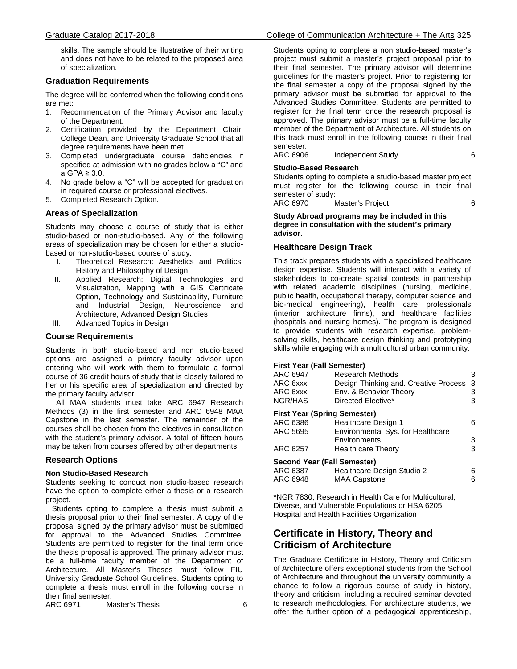skills. The sample should be illustrative of their writing and does not have to be related to the proposed area of specialization.

### **Graduation Requirements**

The degree will be conferred when the following conditions are met:

- 1. Recommendation of the Primary Advisor and faculty of the Department.
- 2. Certification provided by the Department Chair, College Dean, and University Graduate School that all degree requirements have been met.
- 3. Completed undergraduate course deficiencies if specified at admission with no grades below a "C" and a GPA ≥ 3.0.
- 4. No grade below a "C" will be accepted for graduation in required course or professional electives.
- 5. Completed Research Option.

# **Areas of Specialization**

Students may choose a course of study that is either studio-based or non-studio-based. Any of the following areas of specialization may be chosen for either a studiobased or non-studio-based course of study.

- I. Theoretical Research: Aesthetics and Politics, History and Philosophy of Design
- II. Applied Research: Digital Technologies and Visualization, Mapping with a GIS Certificate Option, Technology and Sustainability, Furniture and Industrial Design, Neuroscience and Architecture, Advanced Design Studies
- III. Advanced Topics in Design

### **Course Requirements**

Students in both studio-based and non studio-based options are assigned a primary faculty advisor upon entering who will work with them to formulate a formal course of 36 credit hours of study that is closely tailored to her or his specific area of specialization and directed by the primary faculty advisor.

 All MAA students must take ARC 6947 Research Methods (3) in the first semester and ARC 6948 MAA Capstone in the last semester. The remainder of the courses shall be chosen from the electives in consultation with the student's primary advisor. A total of fifteen hours may be taken from courses offered by other departments.

### **Research Options**

#### **Non Studio-Based Research**

Students seeking to conduct non studio-based research have the option to complete either a thesis or a research project.

 Students opting to complete a thesis must submit a thesis proposal prior to their final semester. A copy of the proposal signed by the primary advisor must be submitted for approval to the Advanced Studies Committee. Students are permitted to register for the final term once the thesis proposal is approved. The primary advisor must be a full-time faculty member of the Department of Architecture. All Master's Theses must follow FIU University Graduate School Guidelines. Students opting to complete a thesis must enroll in the following course in their final semester:

ARC 6971 Master's Thesis 6

Students opting to complete a non studio-based master's project must submit a master's project proposal prior to their final semester. The primary advisor will determine guidelines for the master's project. Prior to registering for the final semester a copy of the proposal signed by the primary advisor must be submitted for approval to the Advanced Studies Committee. Students are permitted to register for the final term once the research proposal is approved. The primary advisor must be a full-time faculty member of the Department of Architecture. All students on this track must enroll in the following course in their final semester:<br>ARC 6906

Independent Study 6

### **Studio-Based Research**

Students opting to complete a studio-based master project must register for the following course in their final semester of study:

ARC 6970 Master's Project 6

### **Study Abroad programs may be included in this degree in consultation with the student's primary advisor.**

### **Healthcare Design Track**

This track prepares students with a specialized healthcare design expertise. Students will interact with a variety of stakeholders to co-create spatial contexts in partnership with related academic disciplines (nursing, medicine, public health, occupational therapy, computer science and bio-medical engineering), health care professionals (interior architecture firms), and healthcare facilities (hospitals and nursing homes). The program is designed to provide students with research expertise, problemsolving skills, healthcare design thinking and prototyping skills while engaging with a multicultural urban community.

#### **First Year (Fall Semester)**

| ARC 6947<br>ARC 6xxx<br>ARC 6xxx<br>NGR/HAS | <b>Research Methods</b><br>Design Thinking and. Creative Process<br>Env. & Behavior Theory<br>Directed Elective* | З<br>3<br>3<br>3 |
|---------------------------------------------|------------------------------------------------------------------------------------------------------------------|------------------|
| <b>First Year (Spring Semester)</b>         |                                                                                                                  |                  |
| ARC 6386                                    | <b>Healthcare Design 1</b>                                                                                       | 6.               |
| ARC 5695                                    | Environmental Sys. for Healthcare                                                                                |                  |
|                                             | Environments                                                                                                     | 3                |
| ARC 6257                                    | Health care Theory                                                                                               | 3                |
| Second Year (Fall Semester)                 |                                                                                                                  |                  |
| ARC 6387                                    | Healthcare Design Studio 2                                                                                       | 6                |
| ARC 6948                                    | <b>MAA Capstone</b>                                                                                              | 6                |

\*NGR 7830, Research in Health Care for Multicultural, Diverse, and Vulnerable Populations or HSA 6205, Hospital and Health Facilities Organization

# **Certificate in History, Theory and Criticism of Architecture**

The Graduate Certificate in History, Theory and Criticism of Architecture offers exceptional students from the School of Architecture and throughout the university community a chance to follow a rigorous course of study in history, theory and criticism, including a required seminar devoted to research methodologies. For architecture students, we offer the further option of a pedagogical apprenticeship,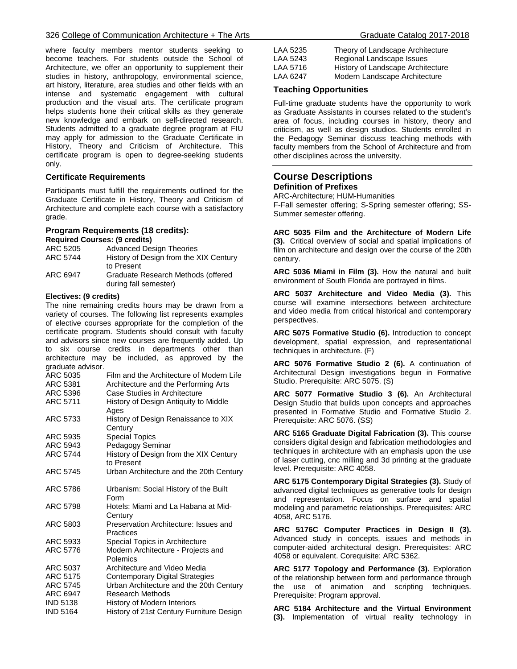where faculty members mentor students seeking to become teachers. For students outside the School of Architecture, we offer an opportunity to supplement their studies in history, anthropology, environmental science, art history, literature, area studies and other fields with an intense and systematic engagement with cultural production and the visual arts. The certificate program helps students hone their critical skills as they generate new knowledge and embark on self-directed research. Students admitted to a graduate degree program at FIU may apply for admission to the Graduate Certificate in History, Theory and Criticism of Architecture. This certificate program is open to degree-seeking students only.

# **Certificate Requirements**

Participants must fulfill the requirements outlined for the Graduate Certificate in History, Theory and Criticism of Architecture and complete each course with a satisfactory grade.

#### **Program Requirements (18 credits): Required Courses: (9 credits)**

| ARC 5205 | <b>Advanced Design Theories</b>        |
|----------|----------------------------------------|
| ARC 5744 | History of Design from the XIX Century |
|          | to Present                             |
| ARC 6947 | Graduate Research Methods (offered     |
|          | during fall semester)                  |

### **Electives: (9 credits)**

The nine remaining credits hours may be drawn from a variety of courses. The following list represents examples of elective courses appropriate for the completion of the certificate program. Students should consult with faculty and advisors since new courses are frequently added. Up to six course credits in departments other than architecture may be included, as approved by the graduate advisor.

| ARC 5035<br>ARC 5381 | Film and the Architecture of Modern Life<br>Architecture and the Performing Arts |
|----------------------|----------------------------------------------------------------------------------|
| ARC 5396             | Case Studies in Architecture                                                     |
| ARC 5711             | History of Design Antiquity to Middle<br>Ages                                    |
| ARC 5733             | History of Design Renaissance to XIX<br>Century                                  |
| ARC 5935             | <b>Special Topics</b>                                                            |
| ARC 5943             | Pedagogy Seminar                                                                 |
| ARC 5744             | History of Design from the XIX Century<br>to Present                             |
| ARC 5745             | Urban Architecture and the 20th Century                                          |
| ARC 5786             | Urbanism: Social History of the Built<br>Form                                    |
| ARC 5798             | Hotels: Miami and La Habana at Mid-<br>Century                                   |
| ARC 5803             | Preservation Architecture: Issues and<br>Practices                               |
| ARC 5933             | Special Topics in Architecture                                                   |
| ARC 5776             | Modern Architecture - Projects and<br>Polemics                                   |
| ARC 5037             | Architecture and Video Media                                                     |
| <b>ARC 5175</b>      | <b>Contemporary Digital Strategies</b>                                           |
| ARC 5745             | Urban Architecture and the 20th Century                                          |
| ARC 6947             | Research Methods                                                                 |
| <b>IND 5138</b>      | History of Modern Interiors                                                      |
| <b>IND 5164</b>      | History of 21st Century Furniture Design                                         |

| LAA 5235 | Theory of Landscape Architecture  |
|----------|-----------------------------------|
| LAA 5243 | Regional Landscape Issues         |
| LAA 5716 | History of Landscape Architecture |
| LAA 6247 | Modern Landscape Architecture     |

# **Teaching Opportunities**

Full-time graduate students have the opportunity to work as Graduate Assistants in courses related to the student's area of focus, including courses in history, theory and criticism, as well as design studios. Students enrolled in the Pedagogy Seminar discuss teaching methods with faculty members from the School of Architecture and from other disciplines across the university.

# **Course Descriptions Definition of Prefixes**

ARC-Architecture; HUM-Humanities

F-Fall semester offering; S-Spring semester offering; SS-Summer semester offering.

**ARC 5035 Film and the Architecture of Modern Life (3).** Critical overview of social and spatial implications of film on architecture and design over the course of the 20th century.

**ARC 5036 Miami in Film (3).** How the natural and built environment of South Florida are portrayed in films.

**ARC 5037 Architecture and Video Media (3).** This course will examine intersections between architecture and video media from critical historical and contemporary perspectives.

**ARC 5075 Formative Studio (6).** Introduction to concept development, spatial expression, and representational techniques in architecture. (F)

**ARC 5076 Formative Studio 2 (6).** A continuation of Architectural Design investigations begun in Formative Studio. Prerequisite: ARC 5075. (S)

**ARC 5077 Formative Studio 3 (6).** An Architectural Design Studio that builds upon concepts and approaches presented in Formative Studio and Formative Studio 2. Prerequisite: ARC 5076. (SS)

**ARC 5165 Graduate Digital Fabrication (3).** This course considers digital design and fabrication methodologies and techniques in architecture with an emphasis upon the use of laser cutting, cnc milling and 3d printing at the graduate level. Prerequisite: ARC 4058.

**ARC 5175 Contemporary Digital Strategies (3).** Study of advanced digital techniques as generative tools for design and representation. Focus on surface and spatial modeling and parametric relationships. Prerequisites: ARC 4058, ARC 5176.

**ARC 5176C Computer Practices in Design II (3).**  Advanced study in concepts, issues and methods in computer-aided architectural design. Prerequisites: ARC 4058 or equivalent. Corequisite: ARC 5362.

**ARC 5177 Topology and Performance (3).** Exploration of the relationship between form and performance through the use of animation and scripting techniques. Prerequisite: Program approval.

**ARC 5184 Architecture and the Virtual Environment (3).** Implementation of virtual reality technology in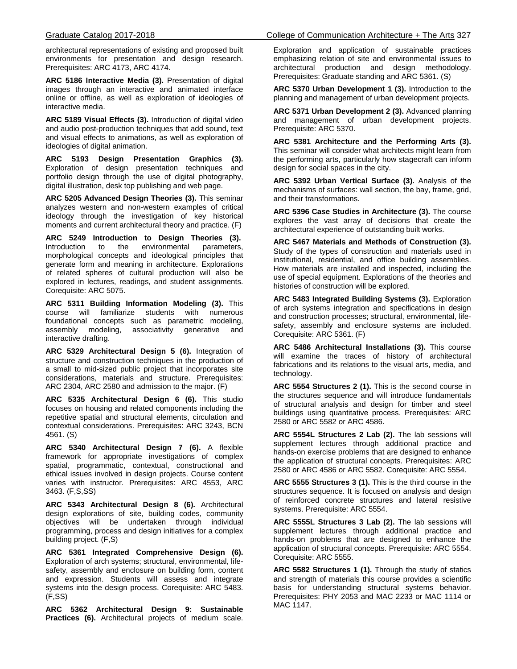architectural representations of existing and proposed built environments for presentation and design research. Prerequisites: ARC 4173, ARC 4174.

**ARC 5186 Interactive Media (3).** Presentation of digital images through an interactive and animated interface online or offline, as well as exploration of ideologies of interactive media.

**ARC 5189 Visual Effects (3).** Introduction of digital video and audio post-production techniques that add sound, text and visual effects to animations, as well as exploration of ideologies of digital animation.

**ARC 5193 Design Presentation Graphics (3).** Exploration of design presentation techniques and portfolio design through the use of digital photography, digital illustration, desk top publishing and web page.

**ARC 5205 Advanced Design Theories (3).** This seminar analyzes western and non-western examples of critical ideology through the investigation of key historical moments and current architectural theory and practice. (F)

**ARC 5249 Introduction to Design Theories (3).** Introduction to the environmental parameters, morphological concepts and ideological principles that generate form and meaning in architecture. Explorations of related spheres of cultural production will also be explored in lectures, readings, and student assignments. Corequisite: ARC 5075.

**ARC 5311 Building Information Modeling (3).** This course will familiarize students foundational concepts such as parametric modeling, assembly modeling, associativity generative and interactive drafting.

**ARC 5329 Architectural Design 5 (6).** Integration of structure and construction techniques in the production of a small to mid-sized public project that incorporates site considerations, materials and structure. Prerequisites: ARC 2304, ARC 2580 and admission to the major. (F)

**ARC 5335 Architectural Design 6 (6).** This studio focuses on housing and related components including the repetitive spatial and structural elements, circulation and contextual considerations. Prerequisites: ARC 3243, BCN 4561. (S)

**ARC 5340 Architectural Design 7 (6).** A flexible framework for appropriate investigations of complex spatial, programmatic, contextual, constructional and ethical issues involved in design projects. Course content varies with instructor. Prerequisites: ARC 4553, ARC 3463. (F,S,SS)

**ARC 5343 Architectural Design 8 (6).** Architectural design explorations of site, building codes, community objectives will be undertaken through individual programming, process and design initiatives for a complex building project. (F,S)

**ARC 5361 Integrated Comprehensive Design (6).** Exploration of arch systems; structural, environmental, lifesafety, assembly and enclosure on building form, content and expression. Students will assess and integrate systems into the design process. Corequisite: ARC 5483. (F,SS)

**ARC 5362 Architectural Design 9: Sustainable Practices (6).** Architectural projects of medium scale.

Exploration and application of sustainable practices emphasizing relation of site and environmental issues to architectural production and design methodology. Prerequisites: Graduate standing and ARC 5361. (S)

**ARC 5370 Urban Development 1 (3).** Introduction to the planning and management of urban development projects.

**ARC 5371 Urban Development 2 (3).** Advanced planning and management of urban development projects. Prerequisite: ARC 5370.

**ARC 5381 Architecture and the Performing Arts (3).** This seminar will consider what architects might learn from the performing arts, particularly how stagecraft can inform design for social spaces in the city.

**ARC 5392 Urban Vertical Surface (3).** Analysis of the mechanisms of surfaces: wall section, the bay, frame, grid, and their transformations.

**ARC 5396 Case Studies in Architecture (3).** The course explores the vast array of decisions that create the architectural experience of outstanding built works.

**ARC 5467 Materials and Methods of Construction (3).** Study of the types of construction and materials used in institutional, residential, and office building assemblies. How materials are installed and inspected, including the use of special equipment. Explorations of the theories and histories of construction will be explored.

**ARC 5483 Integrated Building Systems (3).** Exploration of arch systems integration and specifications in design and construction processes; structural, environmental, lifesafety, assembly and enclosure systems are included. Corequisite: ARC 5361. (F)

**ARC 5486 Architectural Installations (3).** This course will examine the traces of history of architectural fabrications and its relations to the visual arts, media, and technology.

**ARC 5554 Structures 2 (1).** This is the second course in the structures sequence and will introduce fundamentals of structural analysis and design for timber and steel buildings using quantitative process. Prerequisites: ARC 2580 or ARC 5582 or ARC 4586.

**ARC 5554L Structures 2 Lab (2).** The lab sessions will supplement lectures through additional practice and hands-on exercise problems that are designed to enhance the application of structural concepts. Prerequisites: ARC 2580 or ARC 4586 or ARC 5582. Corequisite: ARC 5554.

**ARC 5555 Structures 3 (1).** This is the third course in the structures sequence. It is focused on analysis and design of reinforced concrete structures and lateral resistive systems. Prerequisite: ARC 5554.

**ARC 5555L Structures 3 Lab (2).** The lab sessions will supplement lectures through additional practice and hands-on problems that are designed to enhance the application of structural concepts. Prerequisite: ARC 5554. Corequisite: ARC 5555.

**ARC 5582 Structures 1 (1).** Through the study of statics and strength of materials this course provides a scientific basis for understanding structural systems behavior. Prerequisites: PHY 2053 and MAC 2233 or MAC 1114 or MAC 1147.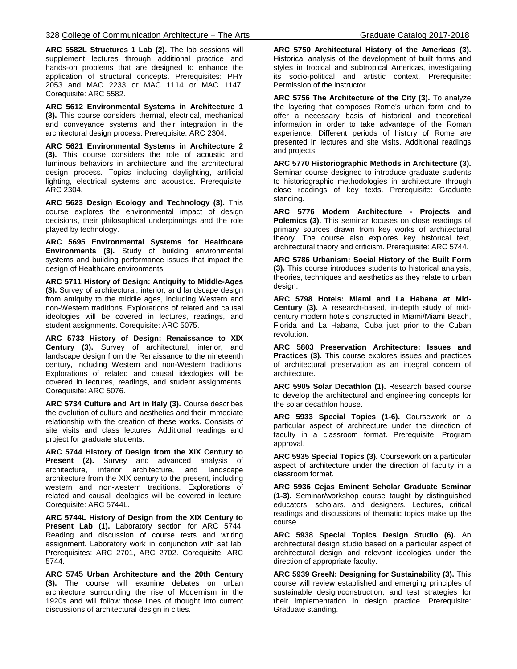**ARC 5582L Structures 1 Lab (2).** The lab sessions will supplement lectures through additional practice and hands-on problems that are designed to enhance the application of structural concepts. Prerequisites: PHY 2053 and MAC 2233 or MAC 1114 or MAC 1147. Corequisite: ARC 5582.

**ARC 5612 Environmental Systems in Architecture 1 (3).** This course considers thermal, electrical, mechanical and conveyance systems and their integration in the architectural design process. Prerequisite: ARC 2304.

**ARC 5621 Environmental Systems in Architecture 2 (3).** This course considers the role of acoustic and luminous behaviors in architecture and the architectural design process. Topics including daylighting, artificial lighting, electrical systems and acoustics. Prerequisite: ARC 2304.

**ARC 5623 Design Ecology and Technology (3).** This course explores the environmental impact of design decisions, their philosophical underpinnings and the role played by technology.

**ARC 5695 Environmental Systems for Healthcare Environments (3).** Study of building environmental systems and building performance issues that impact the design of Healthcare environments.

**ARC 5711 History of Design: Antiquity to Middle-Ages (3).** Survey of architectural, interior, and landscape design from antiquity to the middle ages, including Western and non-Western traditions. Explorations of related and causal ideologies will be covered in lectures, readings, and student assignments. Corequisite: ARC 5075.

**ARC 5733 History of Design: Renaissance to XIX Century (3).** Survey of architectural, interior, and landscape design from the Renaissance to the nineteenth century, including Western and non-Western traditions. Explorations of related and causal ideologies will be covered in lectures, readings, and student assignments. Corequisite: ARC 5076.

**ARC 5734 Culture and Art in Italy (3).** Course describes the evolution of culture and aesthetics and their immediate relationship with the creation of these works. Consists of site visits and class lectures. Additional readings and project for graduate students.

**ARC 5744 History of Design from the XIX Century to Present (2).** Survey and advanced analysis of architecture, interior architecture, and landscape architecture from the XIX century to the present, including western and non-western traditions. Explorations of related and causal ideologies will be covered in lecture. Corequisite: ARC 5744L.

**ARC 5744L History of Design from the XIX Century to Present Lab (1).** Laboratory section for ARC 5744. Reading and discussion of course texts and writing assignment. Laboratory work in conjunction with set lab. Prerequisites: ARC 2701, ARC 2702. Corequisite: ARC 5744.

**ARC 5745 Urban Architecture and the 20th Century (3).** The course will examine debates on urban architecture surrounding the rise of Modernism in the 1920s and will follow those lines of thought into current discussions of architectural design in cities.

**ARC 5750 Architectural History of the Americas (3).** Historical analysis of the development of built forms and styles in tropical and subtropical Americas, investigating its socio-political and artistic context. Prerequisite: Permission of the instructor.

**ARC 5756 The Architecture of the City (3).** To analyze the layering that composes Rome's urban form and to offer a necessary basis of historical and theoretical information in order to take advantage of the Roman experience. Different periods of history of Rome are presented in lectures and site visits. Additional readings and projects.

**ARC 5770 Historiographic Methods in Architecture (3).** Seminar course designed to introduce graduate students to historiographic methodologies in architecture through close readings of key texts. Prerequisite: Graduate standing.

**ARC 5776 Modern Architecture - Projects and Polemics (3).** This seminar focuses on close readings of primary sources drawn from key works of architectural theory. The course also explores key historical text, architectural theory and criticism. Prerequisite: ARC 5744.

**ARC 5786 Urbanism: Social History of the Built Form (3).** This course introduces students to historical analysis, theories, techniques and aesthetics as they relate to urban design.

**ARC 5798 Hotels: Miami and La Habana at Mid-Century (3).** A research-based, in-depth study of midcentury modern hotels constructed in Miami/Miami Beach, Florida and La Habana, Cuba just prior to the Cuban revolution.

**ARC 5803 Preservation Architecture: Issues and Practices (3).** This course explores issues and practices of architectural preservation as an integral concern of architecture.

**ARC 5905 Solar Decathlon (1).** Research based course to develop the architectural and engineering concepts for the solar decathlon house.

**ARC 5933 Special Topics (1-6).** Coursework on a particular aspect of architecture under the direction of faculty in a classroom format. Prerequisite: Program approval.

**ARC 5935 Special Topics (3).** Coursework on a particular aspect of architecture under the direction of faculty in a classroom format.

**ARC 5936 Cejas Eminent Scholar Graduate Seminar (1-3).** Seminar/workshop course taught by distinguished educators, scholars, and designers. Lectures, critical readings and discussions of thematic topics make up the course.

**ARC 5938 Special Topics Design Studio (6).** An architectural design studio based on a particular aspect of architectural design and relevant ideologies under the direction of appropriate faculty.

**ARC 5939 GreeN: Designing for Sustainability (3).** This course will review established and emerging principles of sustainable design/construction, and test strategies for their implementation in design practice. Prerequisite: Graduate standing.